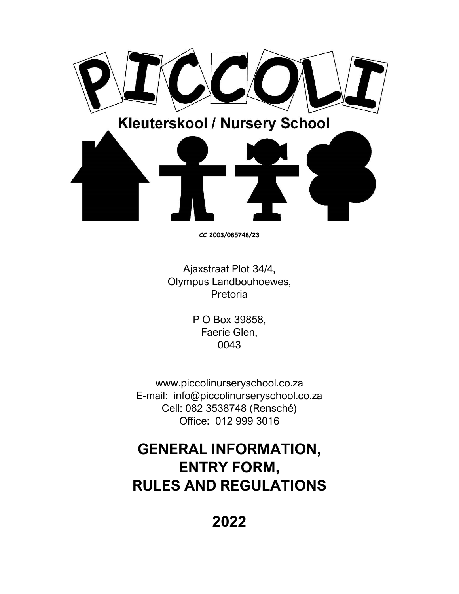

**CC 2003/085748/23**

Ajaxstraat Plot 34/4, Olympus Landbouhoewes, Pretoria

> P O Box 39858, Faerie Glen, 0043

www.piccolinurseryschool.co.za E-mail: info@piccolinurseryschool.co.za Cell: 082 3538748 (Rensché) Office: 012 999 3016

# **GENERAL INFORMATION, ENTRY FORM, RULES AND REGULATIONS**

**2022**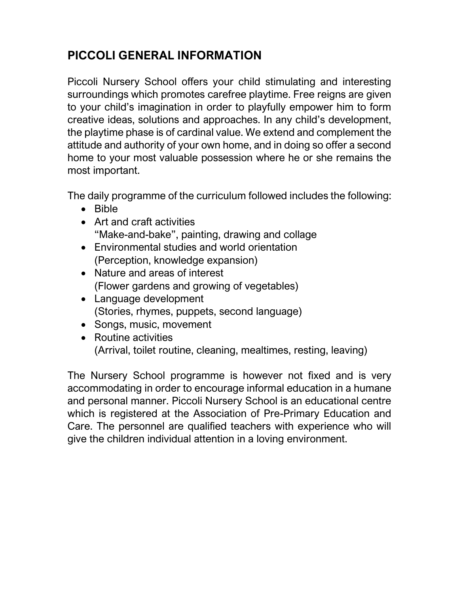### **PICCOLI GENERAL INFORMATION**

Piccoli Nursery School offers your child stimulating and interesting surroundings which promotes carefree playtime. Free reigns are given to your child's imagination in order to playfully empower him to form creative ideas, solutions and approaches. In any child's development, the playtime phase is of cardinal value. We extend and complement the attitude and authority of your own home, and in doing so offer a second home to your most valuable possession where he or she remains the most important.

The daily programme of the curriculum followed includes the following:

- Bible
- Art and craft activities "Make-and-bake", painting, drawing and collage
- Environmental studies and world orientation (Perception, knowledge expansion)
- Nature and areas of interest (Flower gardens and growing of vegetables)
- Language development (Stories, rhymes, puppets, second language)
- Songs, music, movement
- Routine activities (Arrival, toilet routine, cleaning, mealtimes, resting, leaving)

The Nursery School programme is however not fixed and is very accommodating in order to encourage informal education in a humane and personal manner. Piccoli Nursery School is an educational centre which is registered at the Association of Pre-Primary Education and Care. The personnel are qualified teachers with experience who will give the children individual attention in a loving environment.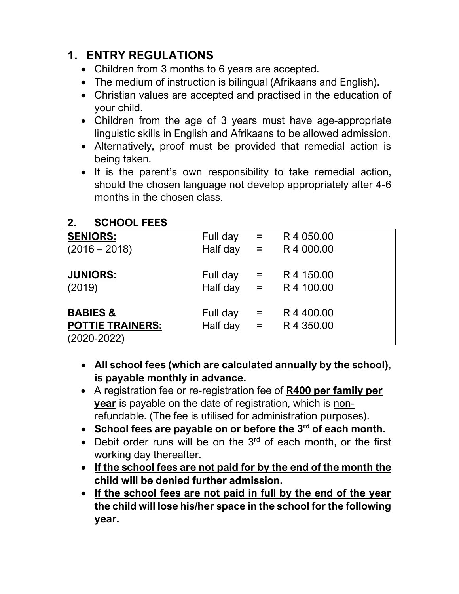### **1. ENTRY REGULATIONS**

- Children from 3 months to 6 years are accepted.
- The medium of instruction is bilingual (Afrikaans and English).
- Christian values are accepted and practised in the education of your child.
- Children from the age of 3 years must have age-appropriate linguistic skills in English and Afrikaans to be allowed admission.
- Alternatively, proof must be provided that remedial action is being taken.
- It is the parent's own responsibility to take remedial action, should the chosen language not develop appropriately after 4-6 months in the chosen class.

| <b>SCHOOL FEES</b> |
|--------------------|
|                    |

| <b>SENIORS:</b>                                                   | Full day             | $=$                                   | R4 050.00             |
|-------------------------------------------------------------------|----------------------|---------------------------------------|-----------------------|
| $(2016 - 2018)$                                                   | Half day             | $\alpha_{\rm c} = 0$                  | R4 000.00             |
| <b>JUNIORS:</b>                                                   | Full day             | $=$                                   | R 4 150.00            |
| (2019)                                                            | Half day             | $\epsilon = \frac{1}{2}$              | R 4 100.00            |
| <b>BABIES &amp;</b><br><b>POTTIE TRAINERS:</b><br>$(2020 - 2022)$ | Full day<br>Half day | $\equiv$<br>$\epsilon_{\rm{eff}}=0.1$ | R4400.00<br>R4 350.00 |

- **All school fees (which are calculated annually by the school), is payable monthly in advance.**
- A registration fee or re-registration fee of **R400 per family per year** is payable on the date of registration, which is nonrefundable. (The fee is utilised for administration purposes).
- **School fees are payable on or before the 3 rd of each month.**
- Debit order runs will be on the  $3<sup>rd</sup>$  of each month, or the first working day thereafter.
- **If the school fees are not paid for by the end of the month the child will be denied further admission.**
- **If the school fees are not paid in full by the end of the year the child will lose his/her space in the school for the following year.**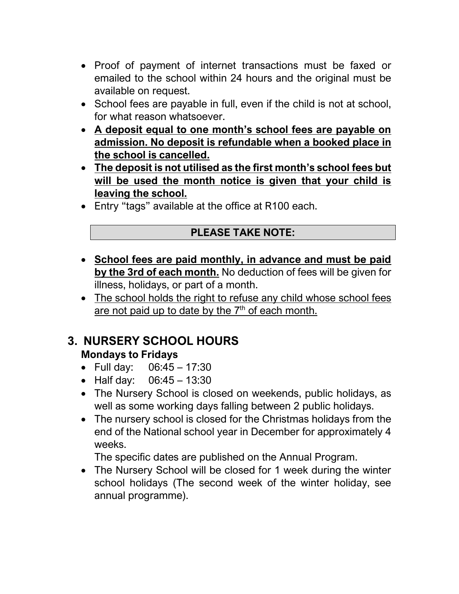- Proof of payment of internet transactions must be faxed or emailed to the school within 24 hours and the original must be available on request.
- School fees are payable in full, even if the child is not at school, for what reason whatsoever.
- **A deposit equal to one month's school fees are payable on admission. No deposit is refundable when a booked place in the school is cancelled.**
- **The deposit is not utilised as the first month's school fees but will be used the month notice is given that your child is leaving the school.**
- Entry "tags" available at the office at R100 each.

#### **PLEASE TAKE NOTE:**

- **School fees are paid monthly, in advance and must be paid by the 3rd of each month.** No deduction of fees will be given for illness, holidays, or part of a month.
- The school holds the right to refuse any child whose school fees are not paid up to date by the 7<sup>th</sup> of each month.

#### **3. NURSERY SCHOOL HOURS Mondays to Fridays**

- Full day: 06:45 17:30
- Half day: 06:45 13:30
- The Nursery School is closed on weekends, public holidays, as well as some working days falling between 2 public holidays.
- The nursery school is closed for the Christmas holidays from the end of the National school year in December for approximately 4 weeks.

The specific dates are published on the Annual Program.

• The Nursery School will be closed for 1 week during the winter school holidays (The second week of the winter holiday, see annual programme).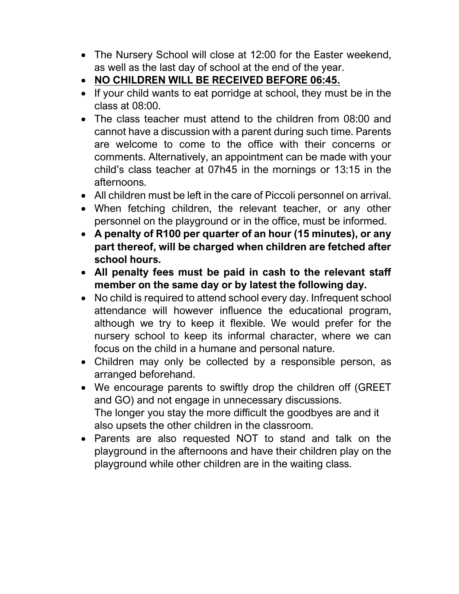- The Nursery School will close at 12:00 for the Easter weekend, as well as the last day of school at the end of the year.
- **NO CHILDREN WILL BE RECEIVED BEFORE 06:45.**
- If your child wants to eat porridge at school, they must be in the class at 08:00.
- The class teacher must attend to the children from 08:00 and cannot have a discussion with a parent during such time. Parents are welcome to come to the office with their concerns or comments. Alternatively, an appointment can be made with your child's class teacher at 07h45 in the mornings or 13:15 in the afternoons.
- All children must be left in the care of Piccoli personnel on arrival.
- When fetching children, the relevant teacher, or any other personnel on the playground or in the office, must be informed.
- **A penalty of R100 per quarter of an hour (15 minutes), or any part thereof, will be charged when children are fetched after school hours.**
- **All penalty fees must be paid in cash to the relevant staff member on the same day or by latest the following day.**
- No child is required to attend school every day. Infrequent school attendance will however influence the educational program, although we try to keep it flexible. We would prefer for the nursery school to keep its informal character, where we can focus on the child in a humane and personal nature.
- Children may only be collected by a responsible person, as arranged beforehand.
- We encourage parents to swiftly drop the children off (GREET and GO) and not engage in unnecessary discussions. The longer you stay the more difficult the goodbyes are and it also upsets the other children in the classroom.
- Parents are also requested NOT to stand and talk on the playground in the afternoons and have their children play on the playground while other children are in the waiting class.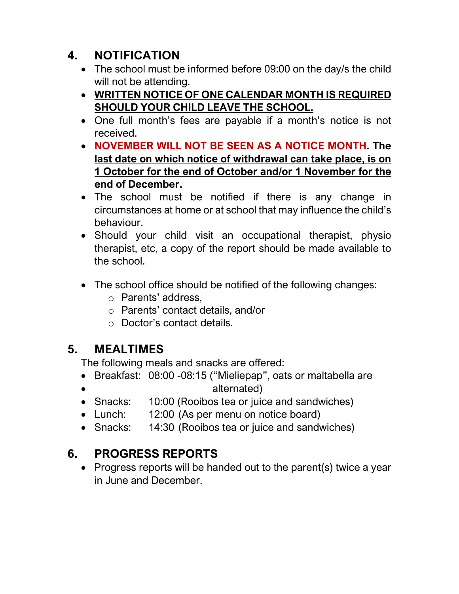## **4. NOTIFICATION**

- The school must be informed before 09:00 on the day/s the child will not be attending.
- **WRITTEN NOTICE OF ONE CALENDAR MONTH IS REQUIRED SHOULD YOUR CHILD LEAVE THE SCHOOL.**
- One full month's fees are payable if a month's notice is not received.
- **NOVEMBER WILL NOT BE SEEN AS A NOTICE MONTH. The last date on which notice of withdrawal can take place, is on 1 October for the end of October and/or 1 November for the end of December.**
- The school must be notified if there is any change in circumstances at home or at school that may influence the child's behaviour.
- Should your child visit an occupational therapist, physio therapist, etc, a copy of the report should be made available to the school.
- The school office should be notified of the following changes:
	- o Parents' address,
	- o Parents' contact details, and/or
	- o Doctor's contact details.

#### **5. MEALTIMES**

The following meals and snacks are offered:

- Breakfast: 08:00 -08:15 ("Mieliepap", oats or maltabella are • alternated)
- Snacks: 10:00 (Rooibos tea or juice and sandwiches)
- Lunch: 12:00 (As per menu on notice board)
- Snacks: 14:30 (Rooibos tea or juice and sandwiches)

## **6. PROGRESS REPORTS**

• Progress reports will be handed out to the parent(s) twice a year in June and December.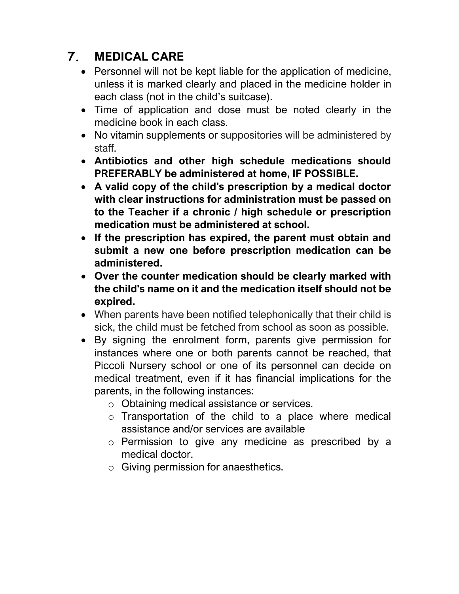## **7. MEDICAL CARE**

- Personnel will not be kept liable for the application of medicine, unless it is marked clearly and placed in the medicine holder in each class (not in the child's suitcase).
- Time of application and dose must be noted clearly in the medicine book in each class.
- No vitamin supplements or suppositories will be administered by staff.
- **Antibiotics and other high schedule medications should PREFERABLY be administered at home, IF POSSIBLE.**
- **A valid copy of the child's prescription by a medical doctor with clear instructions for administration must be passed on to the Teacher if a chronic / high schedule or prescription medication must be administered at school.**
- **If the prescription has expired, the parent must obtain and submit a new one before prescription medication can be administered.**
- **Over the counter medication should be clearly marked with the child's name on it and the medication itself should not be expired.**
- When parents have been notified telephonically that their child is sick, the child must be fetched from school as soon as possible.
- By signing the enrolment form, parents give permission for instances where one or both parents cannot be reached, that Piccoli Nursery school or one of its personnel can decide on medical treatment, even if it has financial implications for the parents, in the following instances:
	- o Obtaining medical assistance or services.
	- o Transportation of the child to a place where medical assistance and/or services are available
	- o Permission to give any medicine as prescribed by a medical doctor.
	- o Giving permission for anaesthetics.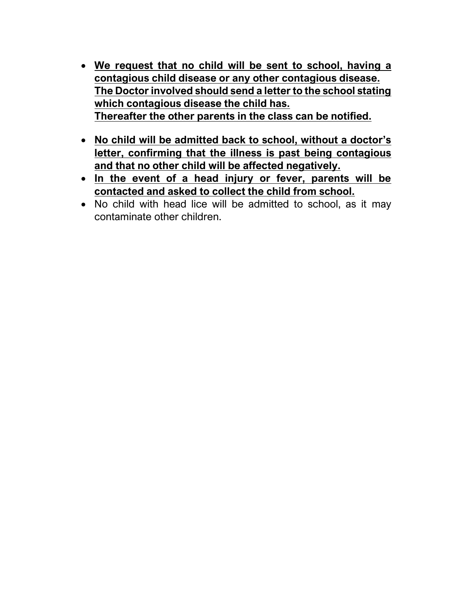- **We request that no child will be sent to school, having a contagious child disease or any other contagious disease. The Doctor involved should send a letter to the school stating which contagious disease the child has. Thereafter the other parents in the class can be notified.**
- **No child will be admitted back to school, without a doctor's letter, confirming that the illness is past being contagious and that no other child will be affected negatively.**
- **In the event of a head injury or fever, parents will be contacted and asked to collect the child from school.**
- No child with head lice will be admitted to school, as it may contaminate other children.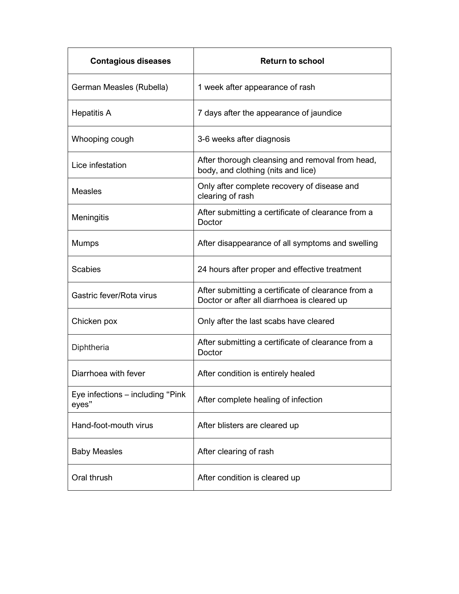| <b>Contagious diseases</b>                | <b>Return to school</b>                                                                           |  |  |  |
|-------------------------------------------|---------------------------------------------------------------------------------------------------|--|--|--|
| German Measles (Rubella)                  | 1 week after appearance of rash                                                                   |  |  |  |
| <b>Hepatitis A</b>                        | 7 days after the appearance of jaundice                                                           |  |  |  |
| Whooping cough                            | 3-6 weeks after diagnosis                                                                         |  |  |  |
| Lice infestation                          | After thorough cleansing and removal from head,<br>body, and clothing (nits and lice)             |  |  |  |
| <b>Measles</b>                            | Only after complete recovery of disease and<br>clearing of rash                                   |  |  |  |
| Meningitis                                | After submitting a certificate of clearance from a<br>Doctor                                      |  |  |  |
| Mumps                                     | After disappearance of all symptoms and swelling                                                  |  |  |  |
| <b>Scabies</b>                            | 24 hours after proper and effective treatment                                                     |  |  |  |
| Gastric fever/Rota virus                  | After submitting a certificate of clearance from a<br>Doctor or after all diarrhoea is cleared up |  |  |  |
| Chicken pox                               | Only after the last scabs have cleared                                                            |  |  |  |
| Diphtheria                                | After submitting a certificate of clearance from a<br>Doctor                                      |  |  |  |
| Diarrhoea with fever                      | After condition is entirely healed                                                                |  |  |  |
| Eye infections – including "Pink<br>eyes" | After complete healing of infection                                                               |  |  |  |
| Hand-foot-mouth virus                     | After blisters are cleared up                                                                     |  |  |  |
| <b>Baby Measles</b>                       | After clearing of rash                                                                            |  |  |  |
| Oral thrush                               | After condition is cleared up                                                                     |  |  |  |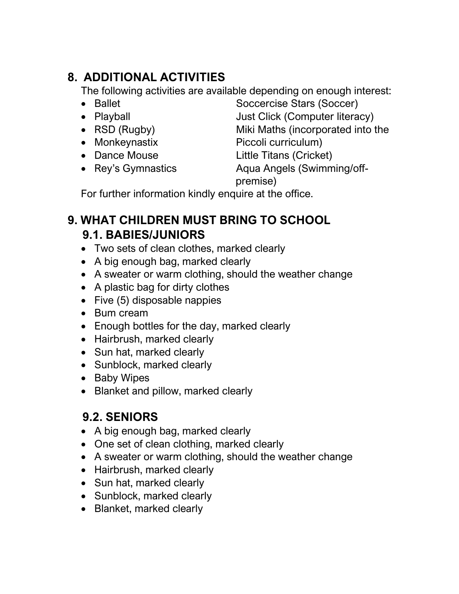## **8. ADDITIONAL ACTIVITIES**

The following activities are available depending on enough interest:

- 
- 
- 
- 
- 
- 

• Ballet Soccercise Stars (Soccer) • Playball **Interact Click (Computer literacy)** • RSD (Rugby) Miki Maths (incorporated into the • Monkeynastix Piccoli curriculum) • Dance Mouse Little Titans (Cricket) • Rey's Gymnastics **Aqua Angels (Swimming/off-**

premise)

For further information kindly enquire at the office.

#### **9. WHAT CHILDREN MUST BRING TO SCHOOL 9.1. BABIES/JUNIORS**

- Two sets of clean clothes, marked clearly
- A big enough bag, marked clearly
- A sweater or warm clothing, should the weather change
- A plastic bag for dirty clothes
- Five (5) disposable nappies
- Bum cream
- Enough bottles for the day, marked clearly
- Hairbrush, marked clearly
- Sun hat, marked clearly
- Sunblock, marked clearly
- Baby Wipes
- Blanket and pillow, marked clearly

## **9.2. SENIORS**

- A big enough bag, marked clearly
- One set of clean clothing, marked clearly
- A sweater or warm clothing, should the weather change
- Hairbrush, marked clearly
- Sun hat, marked clearly
- Sunblock, marked clearly
- Blanket, marked clearly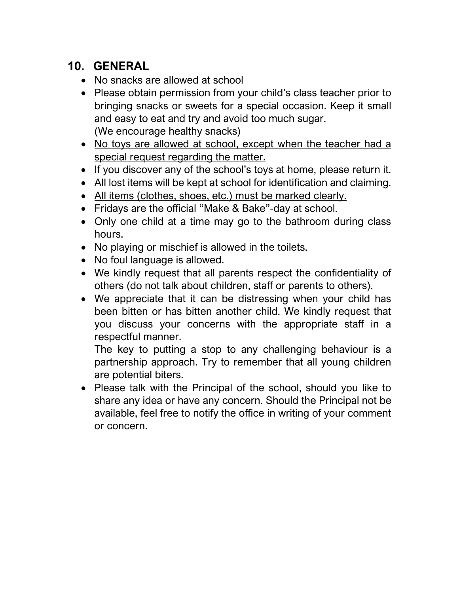### **10. GENERAL**

- No snacks are allowed at school
- Please obtain permission from your child's class teacher prior to bringing snacks or sweets for a special occasion. Keep it small and easy to eat and try and avoid too much sugar. (We encourage healthy snacks)
- No toys are allowed at school, except when the teacher had a special request regarding the matter.
- If you discover any of the school's toys at home, please return it.
- All lost items will be kept at school for identification and claiming.
- All items (clothes, shoes, etc.) must be marked clearly.
- Fridays are the official "Make & Bake"-day at school.
- Only one child at a time may go to the bathroom during class hours.
- No playing or mischief is allowed in the toilets.
- No foul language is allowed.
- We kindly request that all parents respect the confidentiality of others (do not talk about children, staff or parents to others).
- We appreciate that it can be distressing when your child has been bitten or has bitten another child. We kindly request that you discuss your concerns with the appropriate staff in a respectful manner.

The key to putting a stop to any challenging behaviour is a partnership approach. Try to remember that all young children are potential biters.

• Please talk with the Principal of the school, should you like to share any idea or have any concern. Should the Principal not be available, feel free to notify the office in writing of your comment or concern.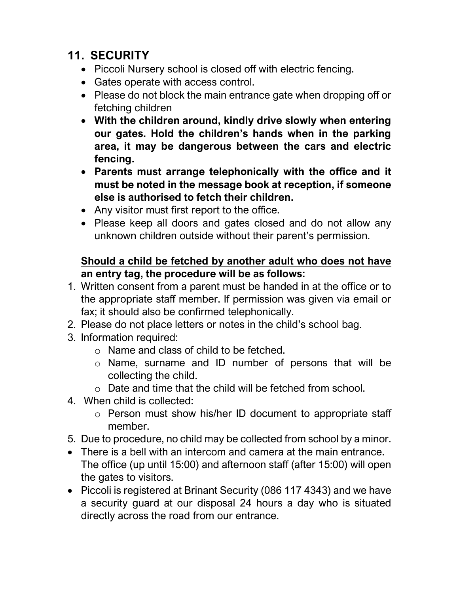#### **11. SECURITY**

- Piccoli Nursery school is closed off with electric fencing.
- Gates operate with access control.
- Please do not block the main entrance gate when dropping off or fetching children
- **With the children around, kindly drive slowly when entering our gates. Hold the children's hands when in the parking area, it may be dangerous between the cars and electric fencing.**
- **Parents must arrange telephonically with the office and it must be noted in the message book at reception, if someone else is authorised to fetch their children.**
- Any visitor must first report to the office.
- Please keep all doors and gates closed and do not allow any unknown children outside without their parent's permission.

#### **Should a child be fetched by another adult who does not have an entry tag, the procedure will be as follows:**

- 1. Written consent from a parent must be handed in at the office or to the appropriate staff member. If permission was given via email or fax; it should also be confirmed telephonically.
- 2. Please do not place letters or notes in the child's school bag.
- 3. Information required:
	- o Name and class of child to be fetched.
	- o Name, surname and ID number of persons that will be collecting the child.
	- o Date and time that the child will be fetched from school.
- 4. When child is collected:
	- o Person must show his/her ID document to appropriate staff member.
- 5. Due to procedure, no child may be collected from school by a minor.
- There is a bell with an intercom and camera at the main entrance. The office (up until 15:00) and afternoon staff (after 15:00) will open the gates to visitors.
- Piccoli is registered at Brinant Security (086 117 4343) and we have a security guard at our disposal 24 hours a day who is situated directly across the road from our entrance.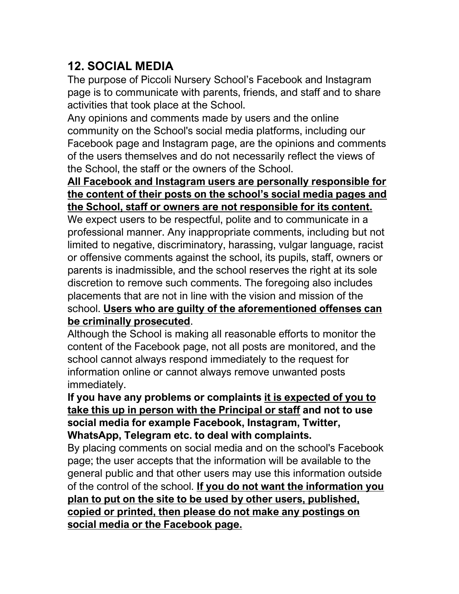#### **12. SOCIAL MEDIA**

The purpose of Piccoli Nursery School's Facebook and Instagram page is to communicate with parents, friends, and staff and to share activities that took place at the School.

Any opinions and comments made by users and the online community on the School's social media platforms, including our Facebook page and Instagram page, are the opinions and comments of the users themselves and do not necessarily reflect the views of the School, the staff or the owners of the School.

#### **All Facebook and Instagram users are personally responsible for the content of their posts on the school's social media pages and the School, staff or owners are not responsible for its content.**

We expect users to be respectful, polite and to communicate in a professional manner. Any inappropriate comments, including but not limited to negative, discriminatory, harassing, vulgar language, racist or offensive comments against the school, its pupils, staff, owners or parents is inadmissible, and the school reserves the right at its sole discretion to remove such comments. The foregoing also includes placements that are not in line with the vision and mission of the school. **Users who are guilty of the aforementioned offenses can be criminally prosecuted**.

Although the School is making all reasonable efforts to monitor the content of the Facebook page, not all posts are monitored, and the school cannot always respond immediately to the request for information online or cannot always remove unwanted posts immediately.

#### **If you have any problems or complaints it is expected of you to take this up in person with the Principal or staff and not to use social media for example Facebook, Instagram, Twitter, WhatsApp, Telegram etc. to deal with complaints.**

By placing comments on social media and on the school's Facebook page; the user accepts that the information will be available to the general public and that other users may use this information outside of the control of the school. **If you do not want the information you plan to put on the site to be used by other users, published, copied or printed, then please do not make any postings on social media or the Facebook page.**